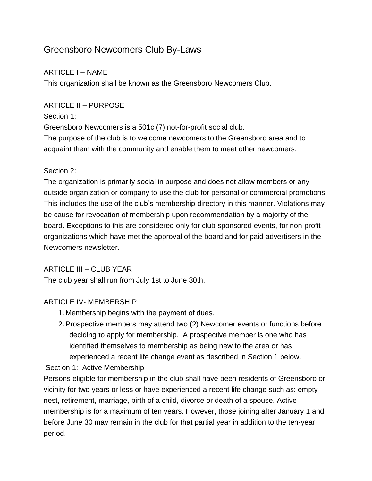# Greensboro Newcomers Club By-Laws

# ARTICLE I – NAME

This organization shall be known as the Greensboro Newcomers Club.

## ARTICLE II – PURPOSE

#### Section 1:

Greensboro Newcomers is a 501c (7) not-for-profit social club.

The purpose of the club is to welcome newcomers to the Greensboro area and to acquaint them with the community and enable them to meet other newcomers.

#### Section 2:

The organization is primarily social in purpose and does not allow members or any outside organization or company to use the club for personal or commercial promotions. This includes the use of the club's membership directory in this manner. Violations may be cause for revocation of membership upon recommendation by a majority of the board. Exceptions to this are considered only for club-sponsored events, for non-profit organizations which have met the approval of the board and for paid advertisers in the Newcomers newsletter.

# ARTICLE III – CLUB YEAR

The club year shall run from July 1st to June 30th.

# ARTICLE IV- MEMBERSHIP

- 1. Membership begins with the payment of dues.
- 2.Prospective members may attend two (2) Newcomer events or functions before deciding to apply for membership. A prospective member is one who has identified themselves to membership as being new to the area or has experienced a recent life change event as described in Section 1 below.

Section 1: Active Membership

Persons eligible for membership in the club shall have been residents of Greensboro or vicinity for two years or less or have experienced a recent life change such as: empty nest, retirement, marriage, birth of a child, divorce or death of a spouse. Active membership is for a maximum of ten years. However, those joining after January 1 and before June 30 may remain in the club for that partial year in addition to the ten-year period.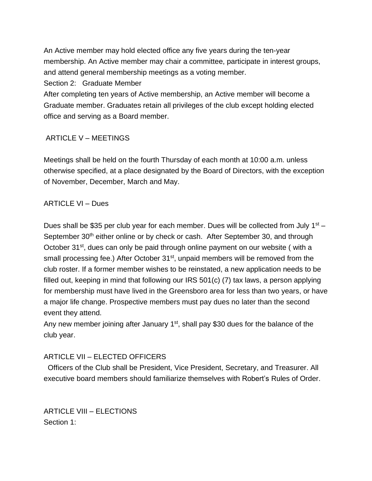An Active member may hold elected office any five years during the ten-year membership. An Active member may chair a committee, participate in interest groups, and attend general membership meetings as a voting member.

Section 2: Graduate Member

After completing ten years of Active membership, an Active member will become a Graduate member. Graduates retain all privileges of the club except holding elected office and serving as a Board member.

# ARTICLE V – MEETINGS

Meetings shall be held on the fourth Thursday of each month at 10:00 a.m. unless otherwise specified, at a place designated by the Board of Directors, with the exception of November, December, March and May.

## ARTICLE VI – Dues

Dues shall be \$35 per club year for each member. Dues will be collected from July 1<sup>st</sup> -September 30<sup>th</sup> either online or by check or cash. After September 30, and through October 31<sup>st</sup>, dues can only be paid through online payment on our website (with a small processing fee.) After October 31<sup>st</sup>, unpaid members will be removed from the club roster. If a former member wishes to be reinstated, a new application needs to be filled out, keeping in mind that following our IRS 501(c) (7) tax laws, a person applying for membership must have lived in the Greensboro area for less than two years, or have a major life change. Prospective members must pay dues no later than the second event they attend.

Any new member joining after January 1<sup>st</sup>, shall pay \$30 dues for the balance of the club year.

# ARTICLE VII – ELECTED OFFICERS

 Officers of the Club shall be President, Vice President, Secretary, and Treasurer. All executive board members should familiarize themselves with Robert's Rules of Order.

ARTICLE VIII – ELECTIONS Section 1: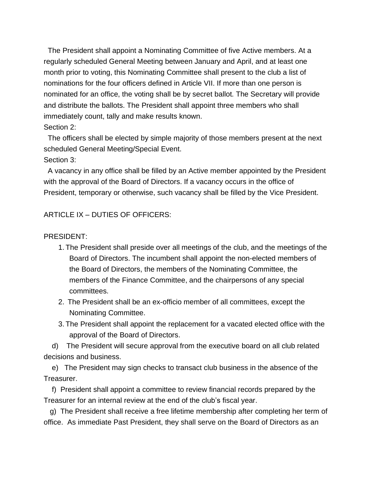The President shall appoint a Nominating Committee of five Active members. At a regularly scheduled General Meeting between January and April, and at least one month prior to voting, this Nominating Committee shall present to the club a list of nominations for the four officers defined in Article VII. If more than one person is nominated for an office, the voting shall be by secret ballot. The Secretary will provide and distribute the ballots. The President shall appoint three members who shall immediately count, tally and make results known.

Section 2:

 The officers shall be elected by simple majority of those members present at the next scheduled General Meeting/Special Event.

Section 3:

 A vacancy in any office shall be filled by an Active member appointed by the President with the approval of the Board of Directors. If a vacancy occurs in the office of President, temporary or otherwise, such vacancy shall be filled by the Vice President.

ARTICLE IX – DUTIES OF OFFICERS:

#### PRESIDENT:

- 1. The President shall preside over all meetings of the club, and the meetings of the Board of Directors. The incumbent shall appoint the non-elected members of the Board of Directors, the members of the Nominating Committee, the members of the Finance Committee, and the chairpersons of any special committees.
- 2. The President shall be an ex-officio member of all committees, except the Nominating Committee.
- 3. The President shall appoint the replacement for a vacated elected office with the approval of the Board of Directors.

 d) The President will secure approval from the executive board on all club related decisions and business.

e) The President may sign checks to transact club business in the absence of the Treasurer.

f) President shall appoint a committee to review financial records prepared by the Treasurer for an internal review at the end of the club's fiscal year.

 g) The President shall receive a free lifetime membership after completing her term of office. As immediate Past President, they shall serve on the Board of Directors as an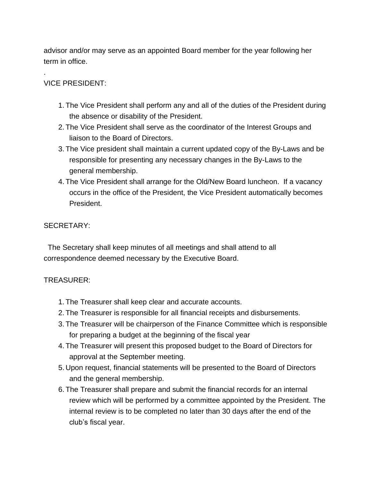advisor and/or may serve as an appointed Board member for the year following her term in office.

# VICE PRESIDENT:

.

- 1. The Vice President shall perform any and all of the duties of the President during the absence or disability of the President.
- 2. The Vice President shall serve as the coordinator of the Interest Groups and liaison to the Board of Directors.
- 3. The Vice president shall maintain a current updated copy of the By-Laws and be responsible for presenting any necessary changes in the By-Laws to the general membership.
- 4. The Vice President shall arrange for the Old/New Board luncheon. If a vacancy occurs in the office of the President, the Vice President automatically becomes President.

## SECRETARY:

 The Secretary shall keep minutes of all meetings and shall attend to all correspondence deemed necessary by the Executive Board.

#### TREASURER:

- 1. The Treasurer shall keep clear and accurate accounts.
- 2. The Treasurer is responsible for all financial receipts and disbursements.
- 3. The Treasurer will be chairperson of the Finance Committee which is responsible for preparing a budget at the beginning of the fiscal year
- 4. The Treasurer will present this proposed budget to the Board of Directors for approval at the September meeting.
- 5. Upon request, financial statements will be presented to the Board of Directors and the general membership.
- 6. The Treasurer shall prepare and submit the financial records for an internal review which will be performed by a committee appointed by the President. The internal review is to be completed no later than 30 days after the end of the club's fiscal year.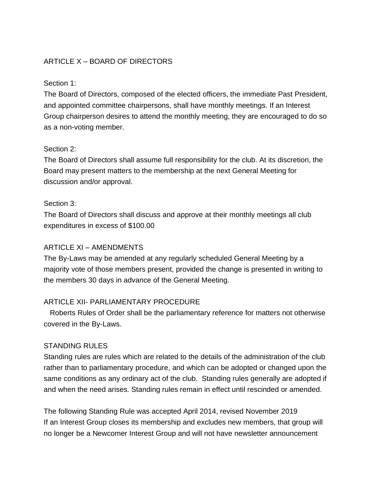## ARTICLE X – BOARD OF DIRECTORS

#### Section 1:

The Board of Directors, composed of the elected officers, the immediate Past President, and appointed committee chairpersons, shall have monthly meetings. If an Interest Group chairperson desires to attend the monthly meeting, they are encouraged to do so as a non-voting member.

#### Section 2:

The Board of Directors shall assume full responsibility for the club. At its discretion, the Board may present matters to the membership at the next General Meeting for discussion and/or approval.

#### Section 3:

The Board of Directors shall discuss and approve at their monthly meetings all club expenditures in excess of \$100.00

#### ARTICLE XI – AMENDMENTS

The By-Laws may be amended at any regularly scheduled General Meeting by a majority vote of those members present, provided the change is presented in writing to the members 30 days in advance of the General Meeting.

#### ARTICLE XII- PARLIAMENTARY PROCEDURE

 Roberts Rules of Order shall be the parliamentary reference for matters not otherwise covered in the By-Laws.

#### STANDING RULES

Standing rules are rules which are related to the details of the administration of the club rather than to parliamentary procedure, and which can be adopted or changed upon the same conditions as any ordinary act of the club. Standing rules generally are adopted if and when the need arises. Standing rules remain in effect until rescinded or amended.

The following Standing Rule was accepted April 2014, revised November 2019 If an Interest Group closes its membership and excludes new members, that group will no longer be a Newcomer Interest Group and will not have newsletter announcement